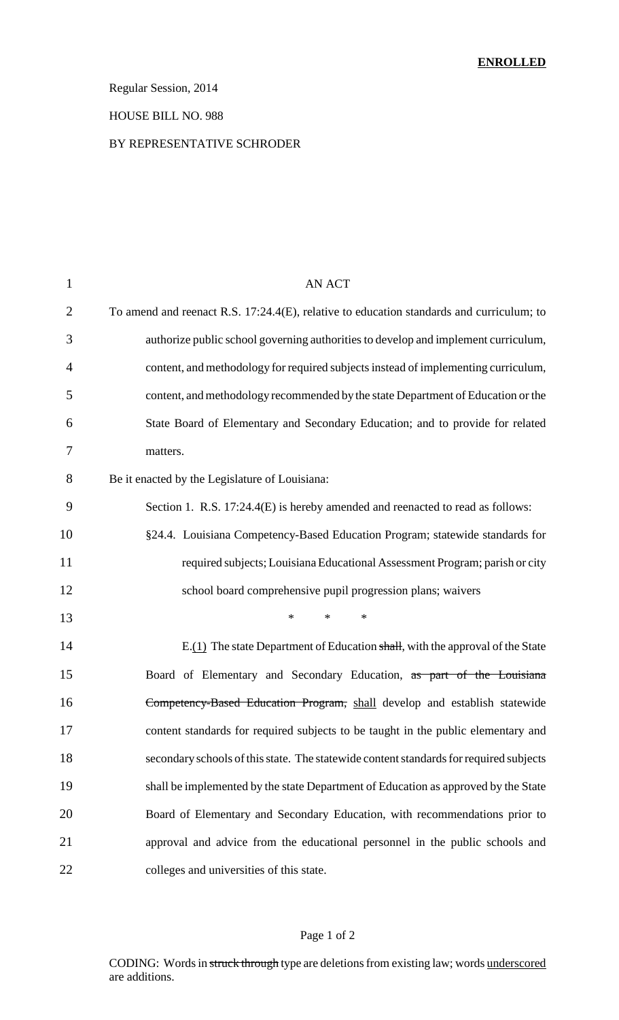# Regular Session, 2014

### HOUSE BILL NO. 988

### BY REPRESENTATIVE SCHRODER

| $\mathbf{1}$   | <b>AN ACT</b>                                                                            |
|----------------|------------------------------------------------------------------------------------------|
| $\overline{2}$ | To amend and reenact R.S. 17:24.4(E), relative to education standards and curriculum; to |
| 3              | authorize public school governing authorities to develop and implement curriculum,       |
| $\overline{4}$ | content, and methodology for required subjects instead of implementing curriculum,       |
| 5              | content, and methodology recommended by the state Department of Education or the         |
| 6              | State Board of Elementary and Secondary Education; and to provide for related            |
| 7              | matters.                                                                                 |
| 8              | Be it enacted by the Legislature of Louisiana:                                           |
| 9              | Section 1. R.S. 17:24.4(E) is hereby amended and reenacted to read as follows:           |
| 10             | §24.4. Louisiana Competency-Based Education Program; statewide standards for             |
| 11             | required subjects; Louisiana Educational Assessment Program; parish or city              |
| 12             | school board comprehensive pupil progression plans; waivers                              |
| 13             | $*$<br>$\ast$<br>$\ast$                                                                  |
| 14             | E.(1) The state Department of Education shall, with the approval of the State            |
| 15             | Board of Elementary and Secondary Education, as part of the Louisiana                    |
| 16             | Competency-Based Education Program, shall develop and establish statewide                |
| 17             | content standards for required subjects to be taught in the public elementary and        |
| 18             | secondary schools of this state. The statewide content standards for required subjects   |
| 19             | shall be implemented by the state Department of Education as approved by the State       |
| 20             | Board of Elementary and Secondary Education, with recommendations prior to               |
| 21             | approval and advice from the educational personnel in the public schools and             |
| 22             | colleges and universities of this state.                                                 |

## Page 1 of 2

CODING: Words in struck through type are deletions from existing law; words underscored are additions.